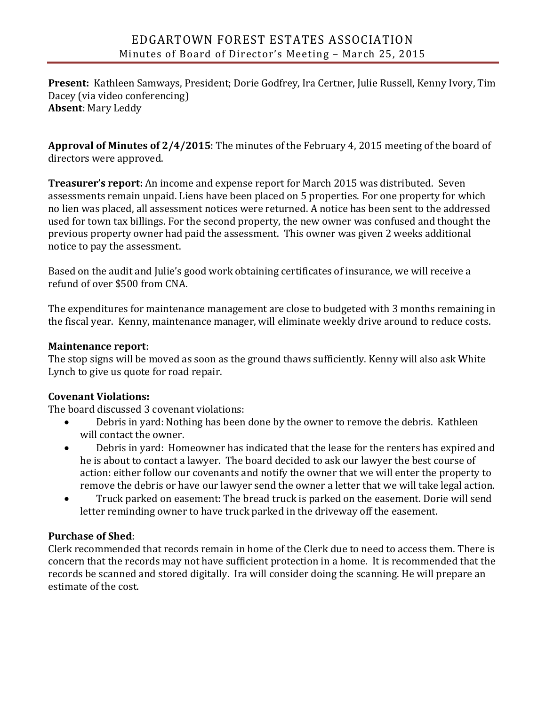**Present:** Kathleen Samways, President; Dorie Godfrey, Ira Certner, Julie Russell, Kenny Ivory, Tim Dacey (via video conferencing) **Absent**: Mary Leddy

**Approval of Minutes of 2/4/2015**: The minutes of the February 4, 2015 meeting of the board of directors were approved.

**Treasurer's report:** An income and expense report for March 2015 was distributed. Seven assessments remain unpaid. Liens have been placed on 5 properties. For one property for which no lien was placed, all assessment notices were returned. A notice has been sent to the addressed used for town tax billings. For the second property, the new owner was confused and thought the previous property owner had paid the assessment. This owner was given 2 weeks additional notice to pay the assessment.

Based on the audit and Julie's good work obtaining certificates of insurance, we will receive a refund of over \$500 from CNA.

The expenditures for maintenance management are close to budgeted with 3 months remaining in the fiscal year. Kenny, maintenance manager, will eliminate weekly drive around to reduce costs.

### **Maintenance report**:

The stop signs will be moved as soon as the ground thaws sufficiently. Kenny will also ask White Lynch to give us quote for road repair.

# **Covenant Violations:**

The board discussed 3 covenant violations:

- Debris in yard: Nothing has been done by the owner to remove the debris. Kathleen will contact the owner.
- Debris in yard: Homeowner has indicated that the lease for the renters has expired and he is about to contact a lawyer. The board decided to ask our lawyer the best course of action: either follow our covenants and notify the owner that we will enter the property to remove the debris or have our lawyer send the owner a letter that we will take legal action.
- Truck parked on easement: The bread truck is parked on the easement. Dorie will send letter reminding owner to have truck parked in the driveway off the easement.

# **Purchase of Shed**:

Clerk recommended that records remain in home of the Clerk due to need to access them. There is concern that the records may not have sufficient protection in a home. It is recommended that the records be scanned and stored digitally. Ira will consider doing the scanning. He will prepare an estimate of the cost.